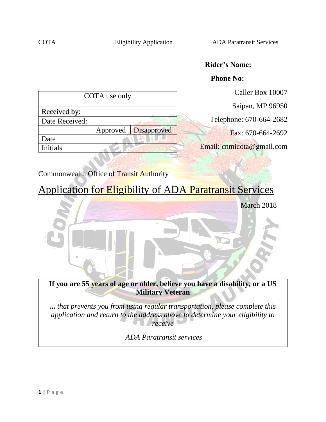## **Rider's Name:**

### **Phone No:**

| COTA use only  |                      | Caller Box 10007 |                           |
|----------------|----------------------|------------------|---------------------------|
|                |                      |                  | Saipan, MP 96950          |
| Received by:   |                      |                  |                           |
| Date Received: |                      |                  | Telephone: 670-664-2682   |
|                | Approved Disapproved |                  | Fax: 670-664-2692         |
| Date           |                      |                  |                           |
| Initials       |                      |                  | Email: cnmicota@gmail.com |
|                |                      |                  |                           |

## Commonwealth Office of Transit Authority

# Application for Eligibility of ADA Paratransit Services



**...** *that prevents you from using regular transportation, please complete this application and return to the address above to determine your eligibility to receive* 

*ADA Paratransit services*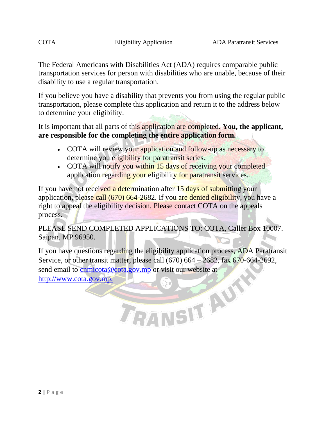The Federal Americans with Disabilities Act (ADA) requires comparable public transportation services for person with disabilities who are unable, because of their disability to use a regular transportation.

If you believe you have a disability that prevents you from using the regular public transportation, please complete this application and return it to the address below to determine your eligibility.

It is important that all parts of this application are completed. **You, the applicant, are responsible for the completing the entire application form.**

- COTA will review your application and follow-up as necessary to determine you eligibility for paratransit series.
- COTA will notify you within 15 days of receiving your completed application regarding your eligibility for paratransit services.

If you have not received a determination after 15 days of submitting your application, please call (670) 664-2682. If you are denied eligibility, you have a right to appeal the eligibility decision. Please contact COTA on the appeals process.

PLEASE SEND COMPLETED APPLICATIONS TO: COTA, Caller Box 10007. Saipan, MP 96950.

If you have questions regarding the eligibility application process, ADA Paratransit Service, or other transit matter, please call (670) 664 – 2682, fax 670-664-2692, send email to cnmicota@cota.gov.mp or visit our website at E O LA AUT

http://www.cota.gov.mp.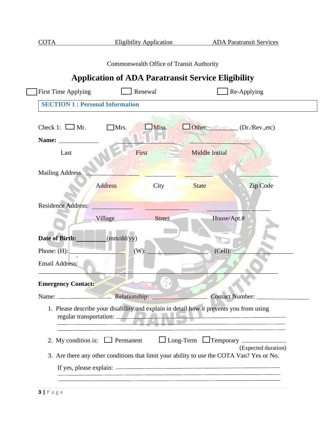|                                        | Commonwealth Office of Transit Authority                              |                                                                                           |
|----------------------------------------|-----------------------------------------------------------------------|-------------------------------------------------------------------------------------------|
|                                        |                                                                       | <b>Application of ADA Paratransit Service Eligibility</b>                                 |
| <b>First Time Applying</b>             | Renewal                                                               | Re-Applying                                                                               |
| <b>SECTION 1: Personal Information</b> |                                                                       |                                                                                           |
| Check 1: $\Box$ Mr.                    | Miss.<br>Mrs.                                                         | Other (Dr./Rev.,etc)                                                                      |
| Name:                                  |                                                                       |                                                                                           |
| Last                                   | First                                                                 | <b>Middle Initial</b>                                                                     |
| <b>Mailing Address</b>                 |                                                                       |                                                                                           |
|                                        | <b>Address</b><br>City                                                | Zip Code<br><b>State</b>                                                                  |
| Residence Address:                     |                                                                       |                                                                                           |
|                                        | Village<br><b>Street</b>                                              | House/Apt.#                                                                               |
| Date of Birth:                         | (mm/dd/yy)                                                            |                                                                                           |
| Phone: $(H)$ :                         | (W):                                                                  | (Cell):                                                                                   |
| Email Address:                         |                                                                       |                                                                                           |
| <b>Emergency Contact:</b>              | $\left( \begin{smallmatrix} 0 & 0 \\ 0 & 0 \end{smallmatrix} \right)$ |                                                                                           |
|                                        | Relationship:                                                         | Contact Number:                                                                           |
| regular transportation: _              | $\mathcal{L}$                                                         | 1. Please describe your disability and explain in detail how it prevents you from using   |
| 2. My condition is: $\Box$ Permanent   |                                                                       | $\Box$ Long-Term $\Box$ Temporary $\Box$<br>(Expected duration)                           |
|                                        |                                                                       | 3. Are there any other conditions that limit your ability to use the COTA Van? Yes or No. |
|                                        |                                                                       |                                                                                           |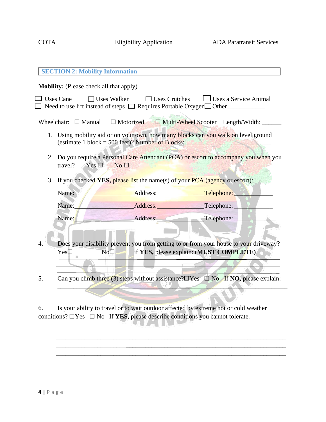|                  | <b>SECTION 2: Mobility Information</b>                                                                                                                              |                                                                                                                                                                                                                                |                                        |  |  |
|------------------|---------------------------------------------------------------------------------------------------------------------------------------------------------------------|--------------------------------------------------------------------------------------------------------------------------------------------------------------------------------------------------------------------------------|----------------------------------------|--|--|
|                  | Mobility: (Please check all that apply)                                                                                                                             |                                                                                                                                                                                                                                |                                        |  |  |
| $\Box$ Uses Cane |                                                                                                                                                                     | $\Box$ Uses Walker<br>$\Box$ Uses Crutches<br>$\Box$ Need to use lift instead of steps $\Box$ Requires Portable Oxygen $\Box$ Other                                                                                            | $\Box$ Uses a Service Animal           |  |  |
|                  | Wheelchair: $\Box$ Manual                                                                                                                                           | $\Box$ Motorized $\Box$ Multi-Wheel Scooter Length/Width: _____                                                                                                                                                                |                                        |  |  |
|                  |                                                                                                                                                                     | 1. Using mobility aid or on your own, how many blocks can you walk on level ground<br>(estimate 1 block = 500 feet)? Number of Blocks:                                                                                         |                                        |  |  |
|                  | travel?<br>$Yes \Box$                                                                                                                                               | 2. Do you require a Personal Care Attendant (PCA) or escort to accompany you when you<br>No <sub>1</sub>                                                                                                                       |                                        |  |  |
| 3.               | If you checked <b>YES</b> , please list the name(s) of your <b>PCA</b> (agency or escort):                                                                          |                                                                                                                                                                                                                                |                                        |  |  |
|                  | Name:                                                                                                                                                               | Address:                                                                                                                                                                                                                       | Telephone:                             |  |  |
|                  | Name:                                                                                                                                                               | Address: and the state of the state of the state of the state of the state of the state of the state of the state of the state of the state of the state of the state of the state of the state of the state of the state of t | Telephone:                             |  |  |
|                  | Name:                                                                                                                                                               | Address: Telephone:                                                                                                                                                                                                            |                                        |  |  |
|                  |                                                                                                                                                                     |                                                                                                                                                                                                                                |                                        |  |  |
| 4.               | Does your disability prevent you from getting to or from your house to your driveway?<br>if YES, please explain: (MUST COMPLETE)<br>No <sub>1</sub><br>$Yes\square$ |                                                                                                                                                                                                                                |                                        |  |  |
|                  |                                                                                                                                                                     |                                                                                                                                                                                                                                |                                        |  |  |
| 5.               | Can you climb three (3) steps without assistance? $\Box$ Yes $\Box$ No If NO, please explain:                                                                       |                                                                                                                                                                                                                                |                                        |  |  |
|                  |                                                                                                                                                                     |                                                                                                                                                                                                                                |                                        |  |  |
|                  |                                                                                                                                                                     | In case of the text of $\mathcal{L}$ and $\mathcal{L}$ and $\mathcal{L}$ and $\mathcal{L}$ and $\mathcal{L}$ and $\mathcal{L}$                                                                                                 | $-10$ $-0.000$ $-1.11$ $-1.11$ $-1.11$ |  |  |

6. Is your ability to travel or to wait outdoor affected by extreme hot or cold weather conditions? ⬜Yes ⬜ No If **YES,** please describe conditions you cannot tolerate. 

 $\blacksquare$ \_\_\_\_\_\_\_\_\_\_\_\_\_\_\_\_\_\_\_\_\_\_\_\_\_\_\_\_\_\_\_\_\_\_\_\_\_\_\_\_\_\_\_\_\_\_\_\_\_\_\_\_\_\_\_\_\_\_\_\_\_\_\_\_\_\_\_\_\_\_\_\_ \_\_\_\_\_\_\_\_\_\_\_\_\_\_\_\_\_\_\_\_\_\_**\_\_\_\_\_\_\_\_\_\_\_\_\_\_\_\_\_\_\_\_\_\_\_\_\_\_\_\_\_\_\_\_\_\_\_\_\_\_\_\_\_\_\_\_\_\_\_\_\_\_ \_\_\_\_\_\_\_\_\_\_\_\_\_\_\_\_\_\_\_\_\_\_\_\_\_\_\_\_\_\_\_\_\_\_\_\_\_\_\_\_\_\_\_\_\_\_\_\_\_\_\_\_\_\_\_\_\_\_\_\_\_\_\_\_\_\_\_\_\_\_\_\_**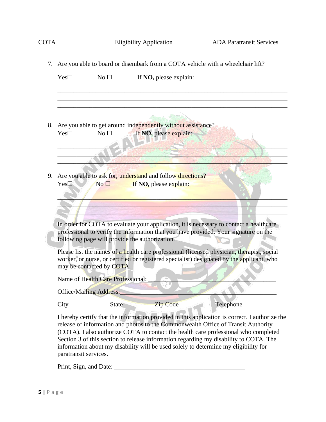|    | 7. Are you able to board or disembark from a COTA vehicle with a wheelchair lift?                                                                                                                                                                                                                                                                                                                                                                          |  |  |  |  |
|----|------------------------------------------------------------------------------------------------------------------------------------------------------------------------------------------------------------------------------------------------------------------------------------------------------------------------------------------------------------------------------------------------------------------------------------------------------------|--|--|--|--|
|    | $Yes\square$<br>$No\square$<br>If NO, please explain:                                                                                                                                                                                                                                                                                                                                                                                                      |  |  |  |  |
|    |                                                                                                                                                                                                                                                                                                                                                                                                                                                            |  |  |  |  |
|    | Are you able to get around independently without assistance?<br>8.<br>If NO, please explain:<br>No $\square$<br>$Yes\square$                                                                                                                                                                                                                                                                                                                               |  |  |  |  |
|    |                                                                                                                                                                                                                                                                                                                                                                                                                                                            |  |  |  |  |
| 9. | Are you able to ask for, understand and follow directions?<br>$Yes\Box$<br>No <sub>1</sub><br>If NO, please explain:                                                                                                                                                                                                                                                                                                                                       |  |  |  |  |
|    |                                                                                                                                                                                                                                                                                                                                                                                                                                                            |  |  |  |  |
|    | In order for COTA to evaluate your application, it is necessary to contact a healthcare<br>professional to verify the information that you have provided. Your signature on the<br>following page will provide the authorization.                                                                                                                                                                                                                          |  |  |  |  |
|    | Please list the names of a health care professional (licensed physician, therapist, social<br>worker, or nurse, or certified or registered specialist) designated by the applicant, who<br>may be contacted by COTA.                                                                                                                                                                                                                                       |  |  |  |  |
|    | Name of Health Care Professional:                                                                                                                                                                                                                                                                                                                                                                                                                          |  |  |  |  |
|    | <b>Office/Mailing Address:</b>                                                                                                                                                                                                                                                                                                                                                                                                                             |  |  |  |  |
|    |                                                                                                                                                                                                                                                                                                                                                                                                                                                            |  |  |  |  |
|    | I hereby certify that the information provided in this application is correct. I authorize the<br>release of information and photos to the Commonwealth Office of Transit Authority<br>(COTA). I also authorize COTA to contact the health care professional who completed<br>Section 3 of this section to release information regarding my disability to COTA. The<br>information about my disability will be used solely to determine my eligibility for |  |  |  |  |

paratransit services.

Print, Sign, and Date: \_\_\_\_\_\_\_\_\_\_\_\_\_\_\_\_\_\_\_\_\_\_\_\_\_\_\_\_\_\_\_\_\_\_\_\_\_\_\_\_\_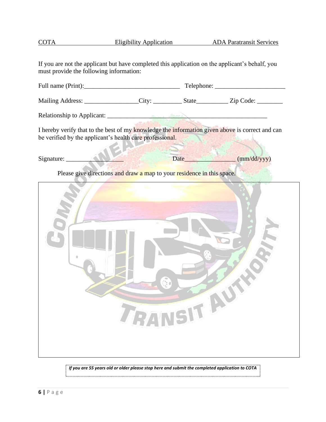| If you are not the applicant but have completed this application on the applicant's behalf, you<br>must provide the following information:                  |             |      |             |  |  |
|-------------------------------------------------------------------------------------------------------------------------------------------------------------|-------------|------|-------------|--|--|
|                                                                                                                                                             |             |      |             |  |  |
| Mailing Address: ________________City: ___________State___________Zip Code: _________                                                                       |             |      |             |  |  |
|                                                                                                                                                             |             |      |             |  |  |
| I hereby verify that to the best of my knowledge the information given above is correct and can<br>be verified by the applicant's health care professional. |             |      |             |  |  |
| Signature:                                                                                                                                                  |             | Date | (mm/dd/yyy) |  |  |
| Please give directions and draw a map to your residence in this space.                                                                                      |             |      |             |  |  |
|                                                                                                                                                             | TRANSIT AUT |      |             |  |  |

COTA Eligibility Application ADA Paratransit Services

*If you are 55 years old or older please stop here and submit the completed application to COTA*